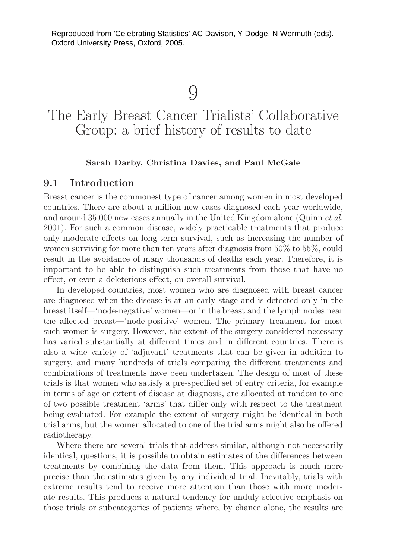# 9

# The Early Breast Cancer Trialists' Collaborative Group: a brief history of results to date

#### **Sarah Darby, Christina Davies, and Paul McGale**

### **9.1 Introduction**

Breast cancer is the commonest type of cancer among women in most developed countries. There are about a million new cases diagnosed each year worldwide, and around 35,000 new cases annually in the United Kingdom alone (Quinn *et al.* 2001). For such a common disease, widely practicable treatments that produce only moderate effects on long-term survival, such as increasing the number of women surviving for more than ten years after diagnosis from 50% to 55%, could result in the avoidance of many thousands of deaths each year. Therefore, it is important to be able to distinguish such treatments from those that have no effect, or even a deleterious effect, on overall survival.

In developed countries, most women who are diagnosed with breast cancer are diagnosed when the disease is at an early stage and is detected only in the breast itself—'node-negative' women—or in the breast and the lymph nodes near the affected breast—'node-positive' women. The primary treatment for most such women is surgery. However, the extent of the surgery considered necessary has varied substantially at different times and in different countries. There is also a wide variety of 'adjuvant' treatments that can be given in addition to surgery, and many hundreds of trials comparing the different treatments and combinations of treatments have been undertaken. The design of most of these trials is that women who satisfy a pre-specified set of entry criteria, for example in terms of age or extent of disease at diagnosis, are allocated at random to one of two possible treatment 'arms' that differ only with respect to the treatment being evaluated. For example the extent of surgery might be identical in both trial arms, but the women allocated to one of the trial arms might also be offered radiotherapy.

Where there are several trials that address similar, although not necessarily identical, questions, it is possible to obtain estimates of the differences between treatments by combining the data from them. This approach is much more precise than the estimates given by any individual trial. Inevitably, trials with extreme results tend to receive more attention than those with more moderate results. This produces a natural tendency for unduly selective emphasis on those trials or subcategories of patients where, by chance alone, the results are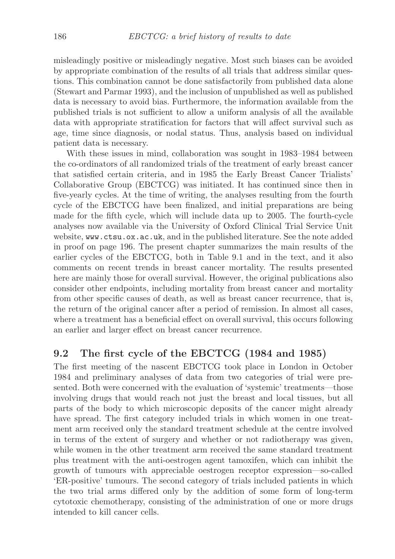misleadingly positive or misleadingly negative. Most such biases can be avoided by appropriate combination of the results of all trials that address similar questions. This combination cannot be done satisfactorily from published data alone (Stewart and Parmar 1993), and the inclusion of unpublished as well as published data is necessary to avoid bias. Furthermore, the information available from the published trials is not sufficient to allow a uniform analysis of all the available data with appropriate stratification for factors that will affect survival such as age, time since diagnosis, or nodal status. Thus, analysis based on individual patient data is necessary.

With these issues in mind, collaboration was sought in 1983–1984 between the co-ordinators of all randomized trials of the treatment of early breast cancer that satisfied certain criteria, and in 1985 the Early Breast Cancer Trialists' Collaborative Group (EBCTCG) was initiated. It has continued since then in five-yearly cycles. At the time of writing, the analyses resulting from the fourth cycle of the EBCTCG have been finalized, and initial preparations are being made for the fifth cycle, which will include data up to 2005. The fourth-cycle analyses now available via the University of Oxford Clinical Trial Service Unit website, www.ctsu.ox.ac.uk, and in the published literature. See the note added in proof on page 196. The present chapter summarizes the main results of the earlier cycles of the EBCTCG, both in Table 9.1 and in the text, and it also comments on recent trends in breast cancer mortality. The results presented here are mainly those for overall survival. However, the original publications also consider other endpoints, including mortality from breast cancer and mortality from other specific causes of death, as well as breast cancer recurrence, that is, the return of the original cancer after a period of remission. In almost all cases, where a treatment has a beneficial effect on overall survival, this occurs following an earlier and larger effect on breast cancer recurrence.

## **9.2 The first cycle of the EBCTCG (1984 and 1985)**

The first meeting of the nascent EBCTCG took place in London in October 1984 and preliminary analyses of data from two categories of trial were presented. Both were concerned with the evaluation of 'systemic' treatments—those involving drugs that would reach not just the breast and local tissues, but all parts of the body to which microscopic deposits of the cancer might already have spread. The first category included trials in which women in one treatment arm received only the standard treatment schedule at the centre involved in terms of the extent of surgery and whether or not radiotherapy was given, while women in the other treatment arm received the same standard treatment plus treatment with the anti-oestrogen agent tamoxifen, which can inhibit the growth of tumours with appreciable oestrogen receptor expression—so-called 'ER-positive' tumours. The second category of trials included patients in which the two trial arms differed only by the addition of some form of long-term cytotoxic chemotherapy, consisting of the administration of one or more drugs intended to kill cancer cells.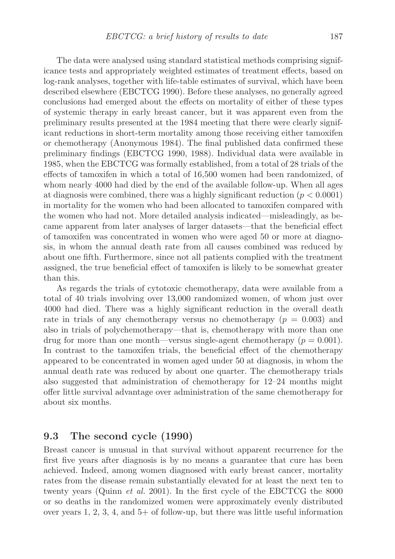The data were analysed using standard statistical methods comprising significance tests and appropriately weighted estimates of treatment effects, based on log-rank analyses, together with life-table estimates of survival, which have been described elsewhere (EBCTCG 1990). Before these analyses, no generally agreed conclusions had emerged about the effects on mortality of either of these types of systemic therapy in early breast cancer, but it was apparent even from the preliminary results presented at the 1984 meeting that there were clearly significant reductions in short-term mortality among those receiving either tamoxifen or chemotherapy (Anonymous 1984). The final published data confirmed these preliminary findings (EBCTCG 1990, 1988). Individual data were available in 1985, when the EBCTCG was formally established, from a total of 28 trials of the effects of tamoxifen in which a total of 16,500 women had been randomized, of whom nearly 4000 had died by the end of the available follow-up. When all ages at diagnosis were combined, there was a highly significant reduction ( $p < 0.0001$ ) in mortality for the women who had been allocated to tamoxifen compared with the women who had not. More detailed analysis indicated—misleadingly, as became apparent from later analyses of larger datasets—that the beneficial effect of tamoxifen was concentrated in women who were aged 50 or more at diagnosis, in whom the annual death rate from all causes combined was reduced by about one fifth. Furthermore, since not all patients complied with the treatment assigned, the true beneficial effect of tamoxifen is likely to be somewhat greater than this.

As regards the trials of cytotoxic chemotherapy, data were available from a total of 40 trials involving over 13,000 randomized women, of whom just over 4000 had died. There was a highly significant reduction in the overall death rate in trials of any chemotherapy versus no chemotherapy  $(p = 0.003)$  and also in trials of polychemotherapy—that is, chemotherapy with more than one drug for more than one month—versus single-agent chemotherapy ( $p = 0.001$ ). In contrast to the tamoxifen trials, the beneficial effect of the chemotherapy appeared to be concentrated in women aged under 50 at diagnosis, in whom the annual death rate was reduced by about one quarter. The chemotherapy trials also suggested that administration of chemotherapy for 12–24 months might offer little survival advantage over administration of the same chemotherapy for about six months.

#### **9.3 The second cycle (1990)**

Breast cancer is unusual in that survival without apparent recurrence for the first five years after diagnosis is by no means a guarantee that cure has been achieved. Indeed, among women diagnosed with early breast cancer, mortality rates from the disease remain substantially elevated for at least the next ten to twenty years (Quinn *et al.* 2001). In the first cycle of the EBCTCG the 8000 or so deaths in the randomized women were approximately evenly distributed over years 1, 2, 3, 4, and 5+ of follow-up, but there was little useful information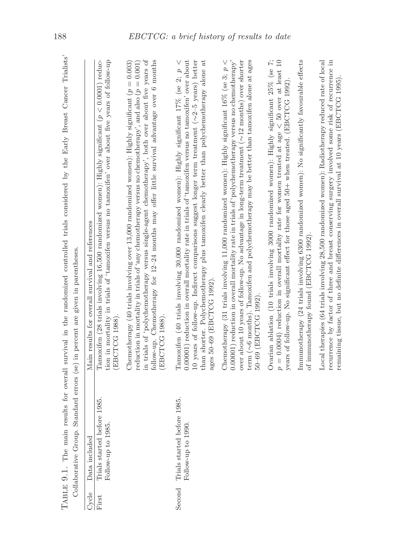|                                                                                                                                                                                                                                                                                                                                                                                                                                                                                                                                                                                          |                                                   | TABLE 9.1. The main results for overall survival in the randomized controlled trials considered by the Early Breast Cancer Trialists'<br>Collaborative Group. Standard errors (se) in percent are given in parentheses                                                                                                                                                                                                                                      |
|------------------------------------------------------------------------------------------------------------------------------------------------------------------------------------------------------------------------------------------------------------------------------------------------------------------------------------------------------------------------------------------------------------------------------------------------------------------------------------------------------------------------------------------------------------------------------------------|---------------------------------------------------|-------------------------------------------------------------------------------------------------------------------------------------------------------------------------------------------------------------------------------------------------------------------------------------------------------------------------------------------------------------------------------------------------------------------------------------------------------------|
| Cycle                                                                                                                                                                                                                                                                                                                                                                                                                                                                                                                                                                                    | Data included                                     | Main results for overall survival and references                                                                                                                                                                                                                                                                                                                                                                                                            |
| $\operatorname*{First}% \left( X\right) \subset\left( X\right) \subset\left( X\right) \subset\left( X\right) \subset\left( X\right) \subset\left( X\right) \subset\left( X\right) \subset\left( X\right) \subset\left( X\right) \subset\left( X\right) \subset\left( X\right) \subset\left( X\right) \subset\left( X\right) \subset\left( X\right) \subset\left( X\right) \subset\left( X\right) \subset\left( X\right) \subset\left( X\right) \subset\left( X\right) \subset\left( X\right) \subset\left( X\right) \subset\left( X\right) \subset\left( X\right) \subset\left( X\right$ | Trials started before 1985.<br>Follow-up to 1985. | tion in mortality in trials of 'tamoxifen versus no tamoxifen' over about five years of follow-up<br>Tamoxifen (28 trials involving 16,500 randomized women): Highly significant $(p < 0.0001)$ reduc-<br>(EBCTCG 1988)                                                                                                                                                                                                                                     |
|                                                                                                                                                                                                                                                                                                                                                                                                                                                                                                                                                                                          |                                                   | in trials of 'polychemotherapy versus single-agent chemotherapy', both over about five years of<br>follow-up. Chemotherapy for 12-24 months may offer little survival advantage over 6 months<br>Chemotherapy (40 trials involving over 13,000 randomized women): Highly significant ( $p = 0.003$ )<br>reduction in mortality in trials of 'any chemotherapy versus no chemotherapy', and also ( $p = 0.001$ )<br>(EBCTCG 1988)                            |
| Second                                                                                                                                                                                                                                                                                                                                                                                                                                                                                                                                                                                   | Trials started before 1985.<br>Follow-up to 1990  | 0.00001) reduction in overall mortality rate in trials of 'tamoxifen versus no tamoxifen' over about<br>10 years of follow-up. Indirect comparisons suggest longer term treatment $(\sim 2-5$ years) better<br>than shorter. Polychemotherapy plus tamoxifen clearly better than polychemotherapy alone at<br>Tamoxifen (40 trials involving 30,000 randomized women): Highly significant $17\%$ (se 2; $p$<br>ages 50-69 (EBCTCG 1992).                    |
|                                                                                                                                                                                                                                                                                                                                                                                                                                                                                                                                                                                          |                                                   | $(0.00001)$ reduction in overall mortality rate in trials of 'polychemotherapy versus no chemotherapy'<br>over about 10 years of follow-up. No advantage in long-term treatment $(\sim]12$ months) over shorter<br>$\sim$ 6 months). Tamoxifen and polychemother<br>apy may be better than tamoxifen alone at ages<br>Chemotherapy (31 trials involving 11,000 randomized women): Highly significant 16% (se 3; $p <$<br>(EBCTCG 1992)<br>$50 - 69$<br>term |
|                                                                                                                                                                                                                                                                                                                                                                                                                                                                                                                                                                                          |                                                   | Ovarian ablation (10 trials involving 3000 randomized women): Highly significant 25% (se 7;<br>$p = 0.0004$ ) reduction in overall mortality rate for women treated at age $\lt 50$ over at least<br>years of follow-up. No significant effect for those aged 50+ when treated. (EBCTCG 1992).                                                                                                                                                              |
|                                                                                                                                                                                                                                                                                                                                                                                                                                                                                                                                                                                          |                                                   | Immunotherapy (24 trials involving 6300 randomized women): No significantly favourable effects<br>of immunotherapy found (EBCTCG 1992).                                                                                                                                                                                                                                                                                                                     |
|                                                                                                                                                                                                                                                                                                                                                                                                                                                                                                                                                                                          |                                                   | therapies (64 trials involving 28,500 randomized women): Radiotherapy reduced rate of local<br>recurrence by factor of three and breast conserving surgery involved some risk of recurrence in<br>remaining tissue, but no definite differences in overall survival at 10 years (EBCTCG 1995)<br>Local                                                                                                                                                      |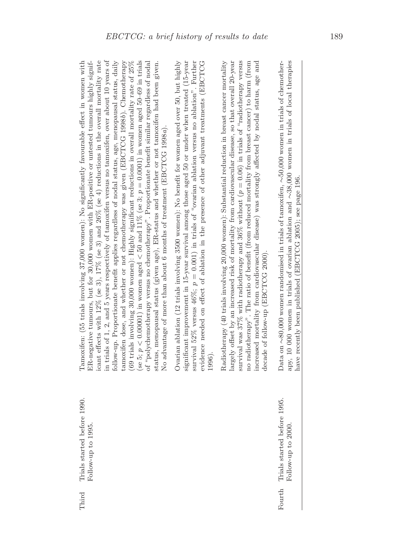| in trials of 1, 2, and 5 years respectively of tamoxifen versus no tamoxifen, over about 10 years of<br>follow-up. Proportionate benefit applies regardless of nodal status, age, menopausal status, daily<br>Tamoxifen: (55 trials involving 37,000 women): No significantly favourable effect in women with<br>icant effects with $12\%$ (se 3), $17\%$ (se 3) and $26\%$ (se 4) reductions in the overall mortality rate<br>(se 5; $p < 0.00001$ ) in women aged $< 50$ and $11\%$ (se 3; $p = 0.0001$ ) in women aged $50-69$ in trials<br>tamoxifen dose, and whether or not chemotherapy was given (EBCTCG 1998b). Chemotherapy<br>(69 trials involving 30,000 women): Highly significant reductions in overall mortality rate of $25\%$<br>of "polychemotherapy versus no chemotherapy". Proportionate benefit similar regardless of nodal<br>ER-negative tumours, but for 30,000 women with ER-positive or untested tumours highly signif-<br>status, menopausal status (given age), ER-status and whether or not tamoxifen had been given.<br>No advantage of more than about 6 months of treatment (EBCTCG 1998a). | Ovarian ablation (12 trials involving 3500 women): No benefit for women aged over 50, but highly<br>survival 52% versus 46%; $p = 0.001$ ) in trials of "ovarian ablation versus no ablation". Further<br>significant improvement in 15-year survival among those aged 50 or under when treated (15-year<br>evidence needed on effect of ablation in the presence of other adjuvant treatments (EBCTCG<br>1996 | survival was $37\%$ with radiotherapy and $36\%$ without ( $p = 0.06$ ) in trials of "radiotherapy versus<br>Radiotherapy (40 trials involving 20,000 women): Substantial reduction in breast cancer mortality<br>largely offset by an increased risk of mortality from cardiovascular disease, so that overall 20-year<br>no radiotherapy". The ratio of benefit (from reduced mortality from breast cancer) to harm (from<br>increased mortality from cardiovascular disease) was strongly affected by nodal status, age and<br>de of follow-up (EBCTCG $2000$ ).<br>$_{\rm deca}$ | Data on $\sim 80,000$ women randomised in trials of tamoxifen, $\sim 50,000$ women in trials of chemother-<br>10 000 women in trials of ovarian ablation and $\sim$ 38,000 women in trials of local therapies<br>have recently been published (EBCTCG 2005); see page 196.<br>apy, |
|------------------------------------------------------------------------------------------------------------------------------------------------------------------------------------------------------------------------------------------------------------------------------------------------------------------------------------------------------------------------------------------------------------------------------------------------------------------------------------------------------------------------------------------------------------------------------------------------------------------------------------------------------------------------------------------------------------------------------------------------------------------------------------------------------------------------------------------------------------------------------------------------------------------------------------------------------------------------------------------------------------------------------------------------------------------------------------------------------------------------------|----------------------------------------------------------------------------------------------------------------------------------------------------------------------------------------------------------------------------------------------------------------------------------------------------------------------------------------------------------------------------------------------------------------|--------------------------------------------------------------------------------------------------------------------------------------------------------------------------------------------------------------------------------------------------------------------------------------------------------------------------------------------------------------------------------------------------------------------------------------------------------------------------------------------------------------------------------------------------------------------------------------|------------------------------------------------------------------------------------------------------------------------------------------------------------------------------------------------------------------------------------------------------------------------------------|
| Trials started before 1990.<br>Follow-up to 1995.                                                                                                                                                                                                                                                                                                                                                                                                                                                                                                                                                                                                                                                                                                                                                                                                                                                                                                                                                                                                                                                                            |                                                                                                                                                                                                                                                                                                                                                                                                                |                                                                                                                                                                                                                                                                                                                                                                                                                                                                                                                                                                                      | Trials started before 1995.<br>Follow-up to 2000                                                                                                                                                                                                                                   |
| Third                                                                                                                                                                                                                                                                                                                                                                                                                                                                                                                                                                                                                                                                                                                                                                                                                                                                                                                                                                                                                                                                                                                        |                                                                                                                                                                                                                                                                                                                                                                                                                |                                                                                                                                                                                                                                                                                                                                                                                                                                                                                                                                                                                      | Fourth                                                                                                                                                                                                                                                                             |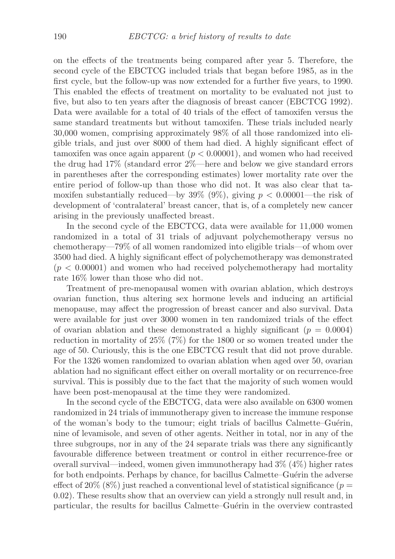on the effects of the treatments being compared after year 5. Therefore, the second cycle of the EBCTCG included trials that began before 1985, as in the first cycle, but the follow-up was now extended for a further five years, to 1990. This enabled the effects of treatment on mortality to be evaluated not just to five, but also to ten years after the diagnosis of breast cancer (EBCTCG 1992). Data were available for a total of 40 trials of the effect of tamoxifen versus the same standard treatments but without tamoxifen. These trials included nearly 30,000 women, comprising approximately 98% of all those randomized into eligible trials, and just over 8000 of them had died. A highly significant effect of tamoxifen was once again apparent  $(p < 0.00001)$ , and women who had received the drug had 17% (standard error 2%—here and below we give standard errors in parentheses after the corresponding estimates) lower mortality rate over the entire period of follow-up than those who did not. It was also clear that tamoxifen substantially reduced—by 39% (9%), giving  $p < 0.00001$ —the risk of development of 'contralateral' breast cancer, that is, of a completely new cancer arising in the previously unaffected breast.

In the second cycle of the EBCTCG, data were available for 11,000 women randomized in a total of 31 trials of adjuvant polychemotherapy versus no chemotherapy—79% of all women randomized into eligible trials—of whom over 3500 had died. A highly significant effect of polychemotherapy was demonstrated  $(p < 0.00001)$  and women who had received polychemotherapy had mortality rate 16% lower than those who did not.

Treatment of pre-menopausal women with ovarian ablation, which destroys ovarian function, thus altering sex hormone levels and inducing an artificial menopause, may affect the progression of breast cancer and also survival. Data were available for just over 3000 women in ten randomized trials of the effect of ovarian ablation and these demonstrated a highly significant ( $p = 0.0004$ ) reduction in mortality of 25% (7%) for the 1800 or so women treated under the age of 50. Curiously, this is the one EBCTCG result that did not prove durable. For the 1326 women randomized to ovarian ablation when aged over 50, ovarian ablation had no significant effect either on overall mortality or on recurrence-free survival. This is possibly due to the fact that the majority of such women would have been post-menopausal at the time they were randomized.

In the second cycle of the EBCTCG, data were also available on 6300 women randomized in 24 trials of immunotherapy given to increase the immune response of the woman's body to the tumour; eight trials of bacillus Calmette–Guérin, nine of levamisole, and seven of other agents. Neither in total, nor in any of the three subgroups, nor in any of the 24 separate trials was there any significantly favourable difference between treatment or control in either recurrence-free or overall survival—indeed, women given immunotherapy had 3% (4%) higher rates for both endpoints. Perhaps by chance, for bacillus Calmette–Guérin the adverse effect of 20% (8%) just reached a conventional level of statistical significance ( $p =$ 0.02). These results show that an overview can yield a strongly null result and, in particular, the results for bacillus Calmette–Guérin in the overview contrasted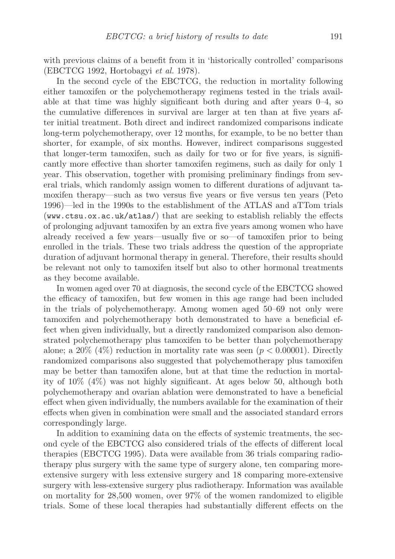with previous claims of a benefit from it in 'historically controlled' comparisons (EBCTCG 1992, Hortobagyi *et al.* 1978).

In the second cycle of the EBCTCG, the reduction in mortality following either tamoxifen or the polychemotherapy regimens tested in the trials available at that time was highly significant both during and after years 0–4, so the cumulative differences in survival are larger at ten than at five years after initial treatment. Both direct and indirect randomized comparisons indicate long-term polychemotherapy, over 12 months, for example, to be no better than shorter, for example, of six months. However, indirect comparisons suggested that longer-term tamoxifen, such as daily for two or for five years, is significantly more effective than shorter tamoxifen regimens, such as daily for only 1 year. This observation, together with promising preliminary findings from several trials, which randomly assign women to different durations of adjuvant tamoxifen therapy—such as two versus five years or five versus ten years (Peto 1996)—led in the 1990s to the establishment of the ATLAS and aTTom trials (www.ctsu.ox.ac.uk/atlas/) that are seeking to establish reliably the effects of prolonging adjuvant tamoxifen by an extra five years among women who have already received a few years—usually five or so—of tamoxifen prior to being enrolled in the trials. These two trials address the question of the appropriate duration of adjuvant hormonal therapy in general. Therefore, their results should be relevant not only to tamoxifen itself but also to other hormonal treatments as they become available.

In women aged over 70 at diagnosis, the second cycle of the EBCTCG showed the efficacy of tamoxifen, but few women in this age range had been included in the trials of polychemotherapy. Among women aged 50–69 not only were tamoxifen and polychemotherapy both demonstrated to have a beneficial effect when given individually, but a directly randomized comparison also demonstrated polychemotherapy plus tamoxifen to be better than polychemotherapy alone; a 20% (4%) reduction in mortality rate was seen ( $p < 0.00001$ ). Directly randomized comparisons also suggested that polychemotherapy plus tamoxifen may be better than tamoxifen alone, but at that time the reduction in mortality of 10% (4%) was not highly significant. At ages below 50, although both polychemotherapy and ovarian ablation were demonstrated to have a beneficial effect when given individually, the numbers available for the examination of their effects when given in combination were small and the associated standard errors correspondingly large.

In addition to examining data on the effects of systemic treatments, the second cycle of the EBCTCG also considered trials of the effects of different local therapies (EBCTCG 1995). Data were available from 36 trials comparing radiotherapy plus surgery with the same type of surgery alone, ten comparing moreextensive surgery with less extensive surgery and 18 comparing more-extensive surgery with less-extensive surgery plus radiotherapy. Information was available on mortality for 28,500 women, over 97% of the women randomized to eligible trials. Some of these local therapies had substantially different effects on the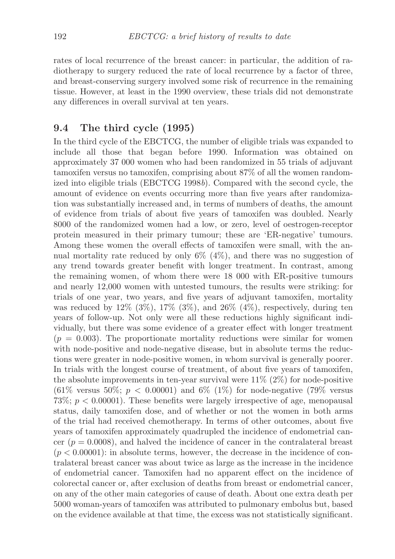rates of local recurrence of the breast cancer: in particular, the addition of radiotherapy to surgery reduced the rate of local recurrence by a factor of three, and breast-conserving surgery involved some risk of recurrence in the remaining tissue. However, at least in the 1990 overview, these trials did not demonstrate any differences in overall survival at ten years.

## **9.4 The third cycle (1995)**

In the third cycle of the EBCTCG, the number of eligible trials was expanded to include all those that began before 1990. Information was obtained on approximately 37 000 women who had been randomized in 55 trials of adjuvant tamoxifen versus no tamoxifen, comprising about 87% of all the women randomized into eligible trials (EBCTCG 1998*b*). Compared with the second cycle, the amount of evidence on events occurring more than five years after randomization was substantially increased and, in terms of numbers of deaths, the amount of evidence from trials of about five years of tamoxifen was doubled. Nearly 8000 of the randomized women had a low, or zero, level of oestrogen-receptor protein measured in their primary tumour; these are 'ER-negative' tumours. Among these women the overall effects of tamoxifen were small, with the annual mortality rate reduced by only 6% (4%), and there was no suggestion of any trend towards greater benefit with longer treatment. In contrast, among the remaining women, of whom there were 18 000 with ER-positive tumours and nearly 12,000 women with untested tumours, the results were striking: for trials of one year, two years, and five years of adjuvant tamoxifen, mortality was reduced by  $12\%$  (3%),  $17\%$  (3%), and 26% (4%), respectively, during ten years of follow-up. Not only were all these reductions highly significant individually, but there was some evidence of a greater effect with longer treatment  $(p = 0.003)$ . The proportionate mortality reductions were similar for women with node-positive and node-negative disease, but in absolute terms the reductions were greater in node-positive women, in whom survival is generally poorer. In trials with the longest course of treatment, of about five years of tamoxifen, the absolute improvements in ten-year survival were  $11\%$  (2%) for node-positive (61\%) versus 50\%;  $p < 0.00001$ ) and 6\% (1\%) for node-negative (79\%) versus 73%;  $p < 0.00001$ ). These benefits were largely irrespective of age, menopausal status, daily tamoxifen dose, and of whether or not the women in both arms of the trial had received chemotherapy. In terms of other outcomes, about five years of tamoxifen approximately quadrupled the incidence of endometrial cancer  $(p = 0.0008)$ , and halved the incidence of cancer in the contralateral breast  $(p < 0.00001)$ : in absolute terms, however, the decrease in the incidence of contralateral breast cancer was about twice as large as the increase in the incidence of endometrial cancer. Tamoxifen had no apparent effect on the incidence of colorectal cancer or, after exclusion of deaths from breast or endometrial cancer, on any of the other main categories of cause of death. About one extra death per 5000 woman-years of tamoxifen was attributed to pulmonary embolus but, based on the evidence available at that time, the excess was not statistically significant.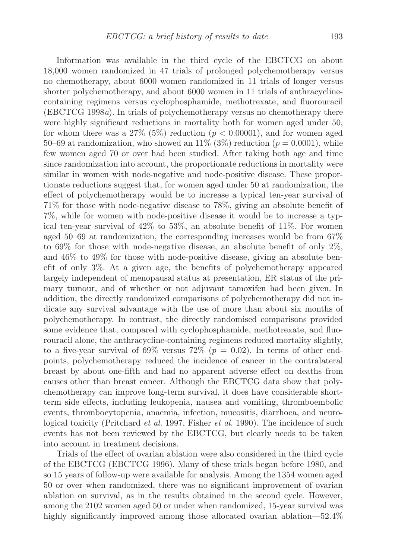Information was available in the third cycle of the EBCTCG on about 18,000 women randomized in 47 trials of prolonged polychemotherapy versus no chemotherapy, about 6000 women randomized in 11 trials of longer versus shorter polychemotherapy, and about 6000 women in 11 trials of anthracyclinecontaining regimens versus cyclophosphamide, methotrexate, and fluorouracil (EBCTCG 1998*a*). In trials of polychemotherapy versus no chemotherapy there were highly significant reductions in mortality both for women aged under 50, for whom there was a  $27\%$  (5%) reduction ( $p < 0.00001$ ), and for women aged 50–69 at randomization, who showed an 11% (3%) reduction ( $p = 0.0001$ ), while few women aged 70 or over had been studied. After taking both age and time since randomization into account, the proportionate reductions in mortality were similar in women with node-negative and node-positive disease. These proportionate reductions suggest that, for women aged under 50 at randomization, the effect of polychemotherapy would be to increase a typical ten-year survival of 71% for those with node-negative disease to 78%, giving an absolute benefit of 7%, while for women with node-positive disease it would be to increase a typical ten-year survival of 42% to 53%, an absolute benefit of 11%. For women aged 50–69 at randomization, the corresponding increases would be from 67% to 69% for those with node-negative disease, an absolute benefit of only 2%, and 46% to 49% for those with node-positive disease, giving an absolute benefit of only 3%. At a given age, the benefits of polychemotherapy appeared largely independent of menopausal status at presentation, ER status of the primary tumour, and of whether or not adjuvant tamoxifen had been given. In addition, the directly randomized comparisons of polychemotherapy did not indicate any survival advantage with the use of more than about six months of polychemotherapy. In contrast, the directly randomised comparisons provided some evidence that, compared with cyclophosphamide, methotrexate, and fluorouracil alone, the anthracycline-containing regimens reduced mortality slightly, to a five-year survival of 69% versus 72% ( $p = 0.02$ ). In terms of other endpoints, polychemotherapy reduced the incidence of cancer in the contralateral breast by about one-fifth and had no apparent adverse effect on deaths from causes other than breast cancer. Although the EBCTCG data show that polychemotherapy can improve long-term survival, it does have considerable shortterm side effects, including leukopenia, nausea and vomiting, thromboembolic events, thrombocytopenia, anaemia, infection, mucositis, diarrhoea, and neurological toxicity (Pritchard *et al.* 1997, Fisher *et al.* 1990). The incidence of such events has not been reviewed by the EBCTCG, but clearly needs to be taken into account in treatment decisions.

Trials of the effect of ovarian ablation were also considered in the third cycle of the EBCTCG (EBCTCG 1996). Many of these trials began before 1980, and so 15 years of follow-up were available for analysis. Among the 1354 women aged 50 or over when randomized, there was no significant improvement of ovarian ablation on survival, as in the results obtained in the second cycle. However, among the 2102 women aged 50 or under when randomized, 15-year survival was highly significantly improved among those allocated ovarian ablation—52.4%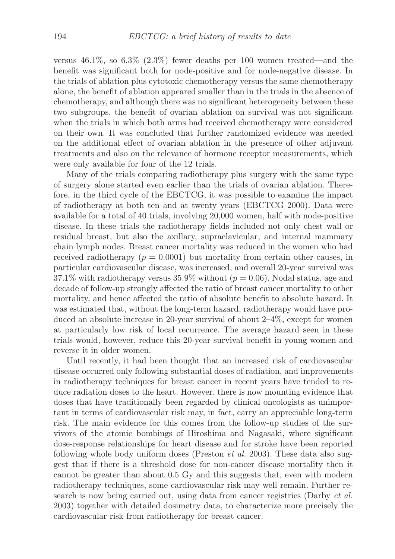versus 46.1%, so 6.3% (2.3%) fewer deaths per 100 women treated—and the benefit was significant both for node-positive and for node-negative disease. In the trials of ablation plus cytotoxic chemotherapy versus the same chemotherapy alone, the benefit of ablation appeared smaller than in the trials in the absence of chemotherapy, and although there was no significant heterogeneity between these two subgroups, the benefit of ovarian ablation on survival was not significant when the trials in which both arms had received chemotherapy were considered on their own. It was concluded that further randomized evidence was needed on the additional effect of ovarian ablation in the presence of other adjuvant treatments and also on the relevance of hormone receptor measurements, which were only available for four of the 12 trials.

Many of the trials comparing radiotherapy plus surgery with the same type of surgery alone started even earlier than the trials of ovarian ablation. Therefore, in the third cycle of the EBCTCG, it was possible to examine the impact of radiotherapy at both ten and at twenty years (EBCTCG 2000). Data were available for a total of 40 trials, involving 20,000 women, half with node-positive disease. In these trials the radiotherapy fields included not only chest wall or residual breast, but also the axillary, supraclavicular, and internal mammary chain lymph nodes. Breast cancer mortality was reduced in the women who had received radiotherapy  $(p = 0.0001)$  but mortality from certain other causes, in particular cardiovascular disease, was increased, and overall 20-year survival was 37.1% with radiotherapy versus 35.9% without ( $p = 0.06$ ). Nodal status, age and decade of follow-up strongly affected the ratio of breast cancer mortality to other mortality, and hence affected the ratio of absolute benefit to absolute hazard. It was estimated that, without the long-term hazard, radiotherapy would have produced an absolute increase in 20-year survival of about 2–4%, except for women at particularly low risk of local recurrence. The average hazard seen in these trials would, however, reduce this 20-year survival benefit in young women and reverse it in older women.

Until recently, it had been thought that an increased risk of cardiovascular disease occurred only following substantial doses of radiation, and improvements in radiotherapy techniques for breast cancer in recent years have tended to reduce radiation doses to the heart. However, there is now mounting evidence that doses that have traditionally been regarded by clinical oncologists as unimportant in terms of cardiovascular risk may, in fact, carry an appreciable long-term risk. The main evidence for this comes from the follow-up studies of the survivors of the atomic bombings of Hiroshima and Nagasaki, where significant dose-response relationships for heart disease and for stroke have been reported following whole body uniform doses (Preston *et al.* 2003). These data also suggest that if there is a threshold dose for non-cancer disease mortality then it cannot be greater than about 0.5 Gy and this suggests that, even with modern radiotherapy techniques, some cardiovascular risk may well remain. Further research is now being carried out, using data from cancer registries (Darby *et al.* 2003) together with detailed dosimetry data, to characterize more precisely the cardiovascular risk from radiotherapy for breast cancer.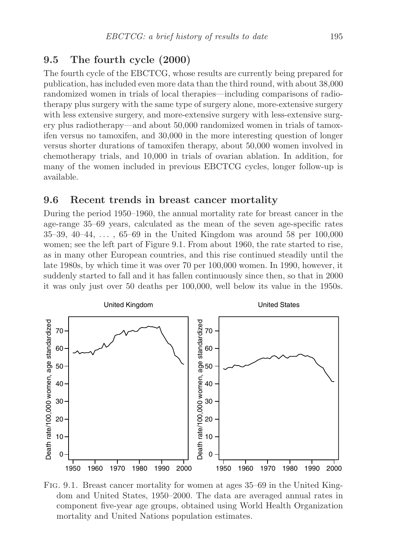## **9.5 The fourth cycle (2000)**

The fourth cycle of the EBCTCG, whose results are currently being prepared for publication, has included even more data than the third round, with about 38,000 randomized women in trials of local therapies—including comparisons of radiotherapy plus surgery with the same type of surgery alone, more-extensive surgery with less extensive surgery, and more-extensive surgery with less-extensive surgery plus radiotherapy—and about 50,000 randomized women in trials of tamoxifen versus no tamoxifen, and 30,000 in the more interesting question of longer versus shorter durations of tamoxifen therapy, about 50,000 women involved in chemotherapy trials, and 10,000 in trials of ovarian ablation. In addition, for many of the women included in previous EBCTCG cycles, longer follow-up is available.

### **9.6 Recent trends in breast cancer mortality**

During the period 1950–1960, the annual mortality rate for breast cancer in the age-range 35–69 years, calculated as the mean of the seven age-specific rates 35–39, 40–44, ... , 65–69 in the United Kingdom was around 58 per 100,000 women; see the left part of Figure 9.1. From about 1960, the rate started to rise, as in many other European countries, and this rise continued steadily until the late 1980s, by which time it was over 70 per 100,000 women. In 1990, however, it suddenly started to fall and it has fallen continuously since then, so that in 2000 it was only just over 50 deaths per 100,000, well below its value in the 1950s.



Fig. 9.1. Breast cancer mortality for women at ages 35–69 in the United Kingdom and United States, 1950–2000. The data are averaged annual rates in component five-year age groups, obtained using World Health Organization mortality and United Nations population estimates.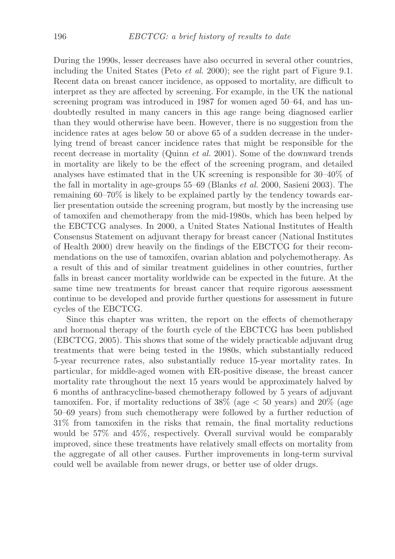During the 1990s, lesser decreases have also occurred in several other countries, including the United States (Peto *et al.* 2000); see the right part of Figure 9.1. Recent data on breast cancer incidence, as opposed to mortality, are difficult to interpret as they are affected by screening. For example, in the UK the national screening program was introduced in 1987 for women aged 50–64, and has undoubtedly resulted in many cancers in this age range being diagnosed earlier than they would otherwise have been. However, there is no suggestion from the incidence rates at ages below 50 or above 65 of a sudden decrease in the underlying trend of breast cancer incidence rates that might be responsible for the recent decrease in mortality (Quinn *et al.* 2001). Some of the downward trends in mortality are likely to be the effect of the screening program, and detailed analyses have estimated that in the UK screening is responsible for 30–40% of the fall in mortality in age-groups 55–69 (Blanks *et al.* 2000, Sasieni 2003). The remaining 60–70% is likely to be explained partly by the tendency towards earlier presentation outside the screening program, but mostly by the increasing use of tamoxifen and chemotherapy from the mid-1980s, which has been helped by the EBCTCG analyses. In 2000, a United States National Institutes of Health Consensus Statement on adjuvant therapy for breast cancer (National Institutes of Health 2000) drew heavily on the findings of the EBCTCG for their recommendations on the use of tamoxifen, ovarian ablation and polychemotherapy. As a result of this and of similar treatment guidelines in other countries, further falls in breast cancer mortality worldwide can be expected in the future. At the same time new treatments for breast cancer that require rigorous assessment continue to be developed and provide further questions for assessment in future cycles of the EBCTCG.

Since this chapter was written, the report on the effects of chemotherapy and hormonal therapy of the fourth cycle of the EBCTCG has been published (EBCTCG, 2005). This shows that some of the widely practicable adjuvant drug treatments that were being tested in the 1980s, which substantially reduced 5-year recurrence rates, also substantially reduce 15-year mortality rates. In particular, for middle-aged women with ER-positive disease, the breast cancer mortality rate throughout the next 15 years would be approximately halved by 6 months of anthracycline-based chemotherapy followed by 5 years of adjuvant tamoxifen. For, if mortality reductions of  $38\%$  (age  $< 50$  years) and  $20\%$  (age 50–69 years) from such chemotherapy were followed by a further reduction of 31% from tamoxifen in the risks that remain, the final mortality reductions would be 57% and 45%, respectively. Overall survival would be comparably improved, since these treatments have relatively small effects on mortality from the aggregate of all other causes. Further improvements in long-term survival could well be available from newer drugs, or better use of older drugs.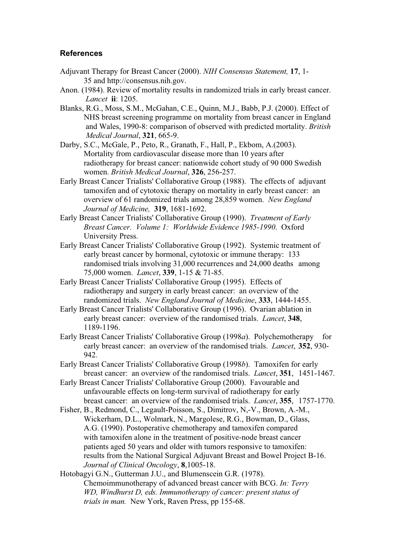#### **References**

- Adjuvant Therapy for Breast Cancer (2000). *NIH Consensus Statement,* **17**, 1- 35 and http://consensus.nih.gov.
- Anon. (1984). Review of mortality results in randomized trials in early breast cancer. *Lancet* **ii**: 1205.
- Blanks, R.G., Moss, S.M., McGahan, C.E., Quinn, M.J., Babb, P.J. (2000). Effect of NHS breast screening programme on mortality from breast cancer in England and Wales, 1990-8: comparison of observed with predicted mortality. *British Medical Journal*, **321**, 665-9.
- Darby, S.C., McGale, P., Peto, R., Granath, F., Hall, P., Ekbom, A.(2003). Mortality from cardiovascular disease more than 10 years after radiotherapy for breast cancer: nationwide cohort study of 90 000 Swedish women. *British Medical Journal*, **326**, 256-257.
- Early Breast Cancer Trialists' Collaborative Group (1988). The effects of adjuvant tamoxifen and of cytotoxic therapy on mortality in early breast cancer: an overview of 61 randomized trials among 28,859 women. *New England Journal of Medicine,* **319**, 1681-1692.
- Early Breast Cancer Trialists' Collaborative Group (1990). *Treatment of Early Breast Cancer. Volume 1: Worldwide Evidence 1985-1990*. Oxford University Press.
- Early Breast Cancer Trialists' Collaborative Group (1992). Systemic treatment of early breast cancer by hormonal, cytotoxic or immune therapy: 133 randomised trials involving 31,000 recurrences and 24,000 deaths among 75,000 women. *Lancet*, **339**, 1-15 & 71-85.
- Early Breast Cancer Trialists' Collaborative Group (1995). Effects of radiotherapy and surgery in early breast cancer: an overview of the randomized trials. *New England Journal of Medicine*, **333**, 1444-1455.
- Early Breast Cancer Trialists' Collaborative Group (1996). Ovarian ablation in early breast cancer: overview of the randomised trials. *Lancet*, **348**, 1189-1196.
- Early Breast Cancer Trialists' Collaborative Group (1998*a*). Polychemotherapy for early breast cancer: an overview of the randomised trials. *Lancet*, **352**, 930- 942.
- Early Breast Cancer Trialists' Collaborative Group (1998*b*). Tamoxifen for early breast cancer: an overview of the randomised trials. *Lancet*, **351**, 1451-1467.
- Early Breast Cancer Trialists' Collaborative Group (2000). Favourable and unfavourable effects on long-term survival of radiotherapy for early breast cancer: an overview of the randomised trials. *Lancet*, **355**, 1757-1770.
- Fisher, B., Redmond, C., Legault-Poisson, S., Dimitrov, N,-V., Brown, A.-M., Wickerham, D.L., Wolmark, N., Margolese, R.G., Bowman, D., Glass, A.G. (1990). Postoperative chemotherapy and tamoxifen compared with tamoxifen alone in the treatment of positive-node breast cancer patients aged 50 years and older with tumors responsive to tamoxifen: results from the National Surgical Adjuvant Breast and Bowel Project B-16. *Journal of Clinical Oncology*, **8**,1005-18.
- Hotobagyi G.N., Gutterman J.U., and Blumenscein G.R. (1978). Chemoimmunotherapy of advanced breast cancer with BCG. *In: Terry WD, Windhurst D, eds. Immunotherapy of cancer: present status of trials in man.* New York, Raven Press, pp 155-68.